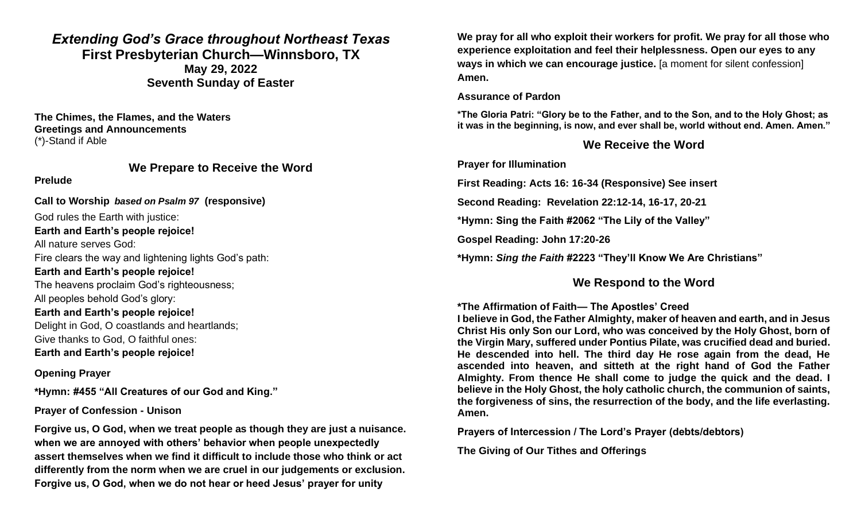# *Extending God's Grace throughout Northeast Texas* **First Presbyterian Church—Winnsboro, TX May 29, 2022 Seventh Sunday of Easter**

**The Chimes, the Flames, and the Waters Greetings and Announcements** (\*)-Stand if Able

### **We Prepare to Receive the Word**

#### **Prelude**

**Call to Worship** *based on Psalm 97* **(responsive)**

God rules the Earth with justice: **Earth and Earth's people rejoice!**  All nature serves God: Fire clears the way and lightening lights God's path: **Earth and Earth's people rejoice!** The heavens proclaim God's righteousness; All peoples behold God's glory: **Earth and Earth's people rejoice!** Delight in God, O coastlands and heartlands; Give thanks to God, O faithful ones: **Earth and Earth's people rejoice!**

# **Opening Prayer**

**\*Hymn: #455 "All Creatures of our God and King."**

# **Prayer of Confession - Unison**

**Forgive us, O God, when we treat people as though they are just a nuisance. when we are annoyed with others' behavior when people unexpectedly assert themselves when we find it difficult to include those who think or act differently from the norm when we are cruel in our judgements or exclusion. Forgive us, O God, when we do not hear or heed Jesus' prayer for unity**

**We pray for all who exploit their workers for profit. We pray for all those who experience exploitation and feel their helplessness. Open our eyes to any ways in which we can encourage justice.** [a moment for silent confession] **Amen.**

### **Assurance of Pardon**

**\*The Gloria Patri: "Glory be to the Father, and to the Son, and to the Holy Ghost; as it was in the beginning, is now, and ever shall be, world without end. Amen. Amen."**

# **We Receive the Word**

**Prayer for Illumination** 

**First Reading: Acts 16: 16-34 (Responsive) See insert**

**Second Reading: Revelation 22:12-14, 16-17, 20-21**

**\*Hymn: Sing the Faith #2062 "The Lily of the Valley"**

**Gospel Reading: John 17:20-26**

**\*Hymn:** *Sing the Faith* **#2223 "They'll Know We Are Christians"**

# **We Respond to the Word**

# **\*The Affirmation of Faith— The Apostles' Creed**

**I believe in God, the Father Almighty, maker of heaven and earth, and in Jesus Christ His only Son our Lord, who was conceived by the Holy Ghost, born of the Virgin Mary, suffered under Pontius Pilate, was crucified dead and buried. He descended into hell. The third day He rose again from the dead, He ascended into heaven, and sitteth at the right hand of God the Father Almighty. From thence He shall come to judge the quick and the dead. I believe in the Holy Ghost, the holy catholic church, the communion of saints, the forgiveness of sins, the resurrection of the body, and the life everlasting. Amen.**

**Prayers of Intercession / The Lord's Prayer (debts/debtors)**

**The Giving of Our Tithes and Offerings**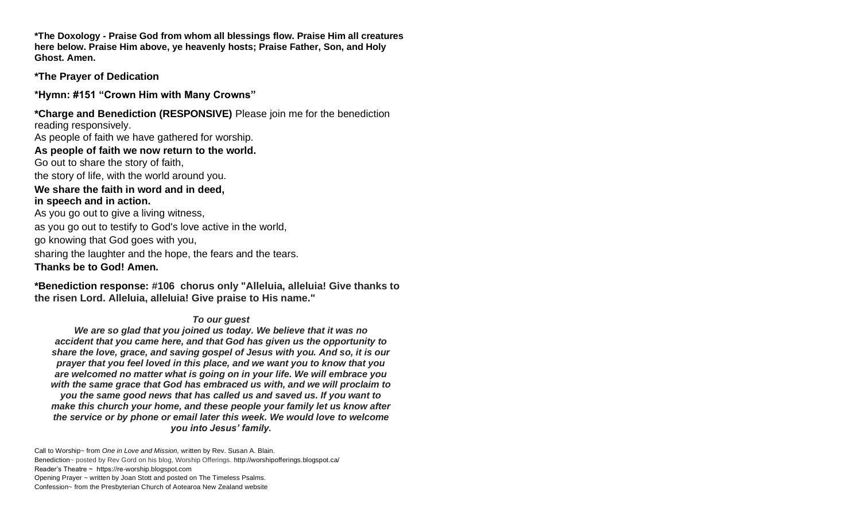**\*The Doxology - Praise God from whom all blessings flow. Praise Him all creatures here below. Praise Him above, ye heavenly hosts; Praise Father, Son, and Holy Ghost. Amen.**

**\*The Prayer of Dedication** 

**\*Hymn: #151 "Crown Him with Many Crowns"** 

**\*Charge and Benediction (RESPONSIVE)** Please join me for the benediction reading responsively. As people of faith we have gathered for worship. **As people of faith we now return to the world.** Go out to share the story of faith, the story of life, with the world around you. **We share the faith in word and in deed, in speech and in action.** As you go out to give a living witness, as you go out to testify to God's love active in the world, go knowing that God goes with you, sharing the laughter and the hope, the fears and the tears. **Thanks be to God! Amen.**

**\*Benediction response: #106 chorus only "Alleluia, alleluia! Give thanks to the risen Lord. Alleluia, alleluia! Give praise to His name."**

### *To our guest*

*We are so glad that you joined us today. We believe that it was no accident that you came here, and that God has given us the opportunity to share the love, grace, and saving gospel of Jesus with you. And so, it is our prayer that you feel loved in this place, and we want you to know that you are welcomed no matter what is going on in your life. We will embrace you with the same grace that God has embraced us with, and we will proclaim to you the same good news that has called us and saved us. If you want to make this church your home, and these people your family let us know after the service or by phone or email later this week. We would love to welcome you into Jesus' family.*

Call to Worship~ from *One in Love and Mission,* written by Rev. Susan A. Blain. Benediction~ posted by Rev Gord on his blog, Worship Offerings.<http://worshipofferings.blogspot.ca/> Reader's Theatre ~ https://re-worship.blogspot.com Opening Prayer ~ written by Joan Stott and posted on The Timeless Psalms. Confession~ from the Presbyterian Church of Aotearoa New Zealand website